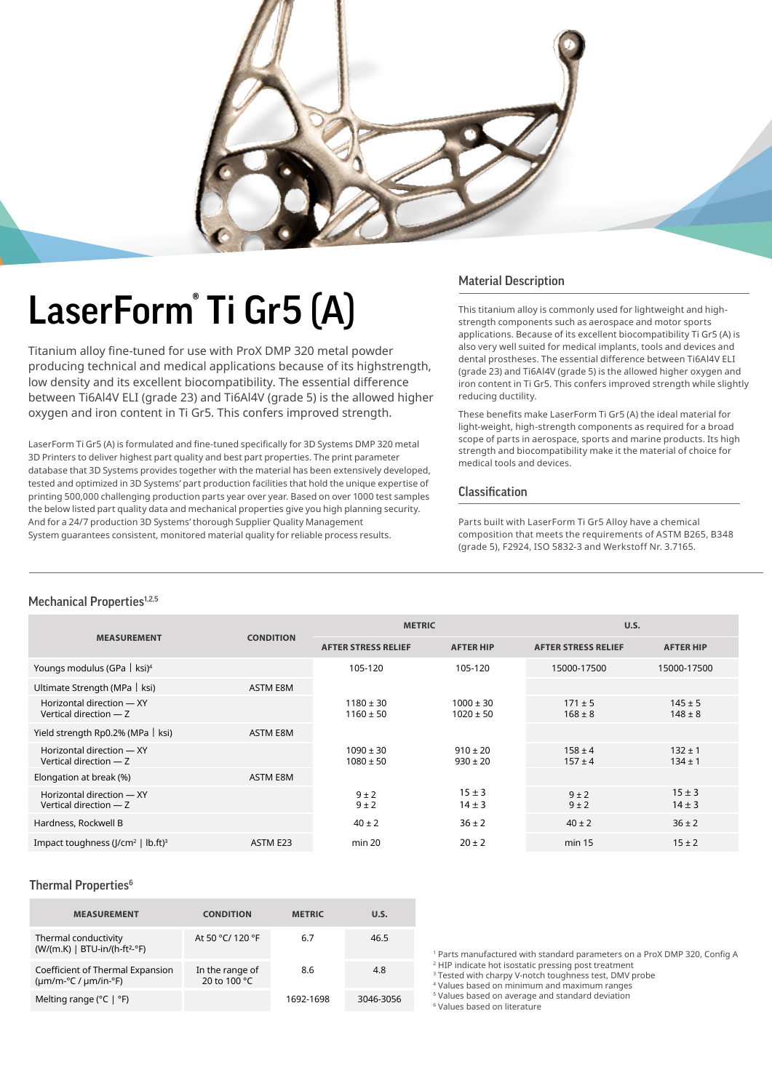

# LaserForm® Ti Gr5 (A)

Titanium alloy fine-tuned for use with ProX DMP 320 metal powder producing technical and medical applications because of its highstrength, low density and its excellent biocompatibility. The essential difference between Ti6Al4V ELI (grade 23) and Ti6Al4V (grade 5) is the allowed higher oxygen and iron content in Ti Gr5. This confers improved strength.

LaserForm Ti Gr5 (A) is formulated and fine-tuned specifically for 3D Systems DMP 320 metal 3D Printers to deliver highest part quality and best part properties. The print parameter database that 3D Systems provides together with the material has been extensively developed, tested and optimized in 3D Systems' part production facilities that hold the unique expertise of printing 500,000 challenging production parts year over year. Based on over 1000 test samples the below listed part quality data and mechanical properties give you high planning security. And for a 24/7 production 3D Systems' thorough Supplier Quality Management System guarantees consistent, monitored material quality for reliable process results.

### Material Description

This titanium alloy is commonly used for lightweight and highstrength components such as aerospace and motor sports applications. Because of its excellent biocompatibility Ti Gr5 (A) is also very well suited for medical implants, tools and devices and dental prostheses. The essential difference between Ti6Al4V ELI (grade 23) and Ti6Al4V (grade 5) is the allowed higher oxygen and iron content in Ti Gr5. This confers improved strength while slightly reducing ductility.

These benefits make LaserForm Ti Gr5 (A) the ideal material for light-weight, high-strength components as required for a broad scope of parts in aerospace, sports and marine products. Its high strength and biocompatibility make it the material of choice for medical tools and devices.

### Classification

Parts built with LaserForm Ti Gr5 Alloy have a chemical composition that meets the requirements of ASTM B265, B348 (grade 5), F2924, ISO 5832-3 and Werkstoff Nr. 3.7165.

### Mechanical Properties<sup>1,2,5</sup>

| <b>MEASUREMENT</b>                                  |                  | <b>METRIC</b>                  |                                | U.S.                       |                            |
|-----------------------------------------------------|------------------|--------------------------------|--------------------------------|----------------------------|----------------------------|
|                                                     | <b>CONDITION</b> | <b>AFTER STRESS RELIEF</b>     | <b>AFTER HIP</b>               | <b>AFTER STRESS RELIEF</b> | <b>AFTER HIP</b>           |
| Youngs modulus (GPa $\vert$ ksi) <sup>4</sup>       |                  | 105-120                        | 105-120                        | 15000-17500                | 15000-17500                |
| Ultimate Strength (MPa   ksi)                       | <b>ASTM E8M</b>  |                                |                                |                            |                            |
| Horizontal direction - XY<br>Vertical direction - Z |                  | $1180 \pm 30$<br>$1160 \pm 50$ | $1000 \pm 30$<br>$1020 \pm 50$ | $171 \pm 5$<br>$168 \pm 8$ | $145 \pm 5$<br>$148 \pm 8$ |
| Yield strength Rp0.2% (MPa   ksi)                   | ASTM E8M         |                                |                                |                            |                            |
| Horizontal direction - XY<br>Vertical direction - Z |                  | $1090 \pm 30$<br>$1080 \pm 50$ | $910 \pm 20$<br>$930 \pm 20$   | $158 \pm 4$<br>$157 \pm 4$ | $132 \pm 1$<br>$134 \pm 1$ |
| Elongation at break (%)                             | ASTM E8M         |                                |                                |                            |                            |
| Horizontal direction - XY<br>Vertical direction - Z |                  | $9 \pm 2$<br>$9 \pm 2$         | $15 \pm 3$<br>$14 \pm 3$       | $9 \pm 2$<br>$9 \pm 2$     | $15 \pm 3$<br>$14 \pm 3$   |
| Hardness, Rockwell B                                |                  | $40 \pm 2$                     | $36 \pm 2$                     | $40 \pm 2$                 | $36 \pm 2$                 |
| Impact toughness ( $ /cm^2$   lb.ft) <sup>3</sup>   | ASTM E23         | min 20                         | $20 \pm 2$                     | min 15                     | $15 \pm 2$                 |

### Thermal Properties<sup>6</sup>

| <b>MEASUREMENT</b>                                                   | <b>CONDITION</b>                | <b>METRIC</b> | U.S.      |
|----------------------------------------------------------------------|---------------------------------|---------------|-----------|
| Thermal conductivity<br>$(W/(m.K)$   BTU-in/(h-ft <sup>2</sup> -°F)  | At 50 °C/ 120 °F                | 6.7           | 46.5      |
| Coefficient of Thermal Expansion<br>$(\mu m/m$ -°C / $\mu m/in$ -°F) | In the range of<br>20 to 100 °C | 8.6           | 4.8       |
| Melting range ( $^{\circ}$ C   $^{\circ}$ F)                         |                                 | 1692-1698     | 3046-3056 |

1 Parts manufactured with standard parameters on a ProX DMP 320, Config A

2 HIP indicate hot isostatic pressing post treatment <sup>3</sup> Tested with charpy V-notch toughness test, DMV probe

4 Values based on minimum and maximum ranges

5 Values based on average and standard deviation

6 Values based on literature